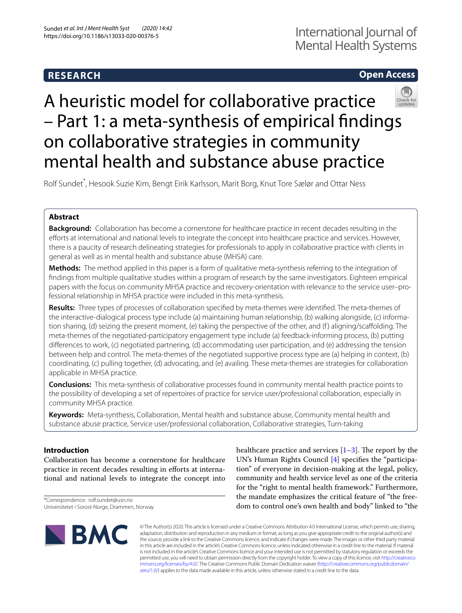# **RESEARCH**

# **Open Access**

# A heuristic model for collaborative practice – Part 1: a meta-synthesis of empirical fndings on collaborative strategies in community mental health and substance abuse practice

Rolf Sundet<sup>\*</sup>, Hesook Suzie Kim, Bengt Eirik Karlsson, Marit Borg, Knut Tore Sælør and Ottar Ness

# **Abstract**

**Background:** Collaboration has become a cornerstone for healthcare practice in recent decades resulting in the efforts at international and national levels to integrate the concept into healthcare practice and services. However, there is a paucity of research delineating strategies for professionals to apply in collaborative practice with clients in general as well as in mental health and substance abuse (MHSA) care.

**Methods:** The method applied in this paper is a form of qualitative meta-synthesis referring to the integration of fndings from multiple qualitative studies within a program of research by the same investigators. Eighteen empirical papers with the focus on community MHSA practice and recovery-orientation with relevance to the service user–professional relationship in MHSA practice were included in this meta-synthesis.

**Results:** Three types of processes of collaboration specifed by meta-themes were identifed. The meta-themes of the interactive-dialogical process type include (a) maintaining human relationship, (b) walking alongside, (c) information sharing, (d) seizing the present moment, (e) taking the perspective of the other, and (f ) aligning/scafolding. The meta-themes of the negotiated-participatory engagement type include (a) feedback-informing process, (b) putting diferences to work, (c) negotiated partnering, (d) accommodating user participation, and (e) addressing the tension between help and control. The meta-themes of the negotiated supportive process type are (a) helping in context, (b) coordinating, (c) pulling together, (d) advocating, and (e) availing. These meta-themes are strategies for collaboration applicable in MHSA practice.

**Conclusions:** This meta-synthesis of collaborative processes found in community mental health practice points to the possibility of developing a set of repertoires of practice for service user/professional collaboration, especially in community MHSA practice.

**Keywords:** Meta-synthesis, Collaboration, Mental health and substance abuse, Community mental health and substance abuse practice, Service user/professional collaboration, Collaborative strategies, Turn-taking

## **Introduction**

Collaboration has become a cornerstone for healthcare practice in recent decades resulting in eforts at international and national levels to integrate the concept into

\*Correspondence: rolf.sundet@usn.no Universitetet i Sorost-Norge, Drammen, Norway healthcare practice and services  $[1-3]$  $[1-3]$  $[1-3]$ . The report by the UN's Human Rights Council [[4\]](#page-14-2) specifes the "participation" of everyone in decision-making at the legal, policy, community and health service level as one of the criteria for the "right to mental health framework." Furthermore, the mandate emphasizes the critical feature of "the freedom to control one's own health and body" linked to "the



© The Author(s) 2020. This article is licensed under a Creative Commons Attribution 4.0 International License, which permits use, sharing, adaptation, distribution and reproduction in any medium or format, as long as you give appropriate credit to the original author(s) and the source, provide a link to the Creative Commons licence, and indicate if changes were made. The images or other third party material in this article are included in the article's Creative Commons licence, unless indicated otherwise in a credit line to the material. If material is not included in the article's Creative Commons licence and your intended use is not permitted by statutory regulation or exceeds the permitted use, you will need to obtain permission directly from the copyright holder. To view a copy of this licence, visit [http://creativeco](http://creativecommons.org/licenses/by/4.0/) [mmons.org/licenses/by/4.0/.](http://creativecommons.org/licenses/by/4.0/) The Creative Commons Public Domain Dedication waiver ([http://creativecommons.org/publicdomain/](http://creativecommons.org/publicdomain/zero/1.0/) [zero/1.0/\)](http://creativecommons.org/publicdomain/zero/1.0/) applies to the data made available in this article, unless otherwise stated in a credit line to the data.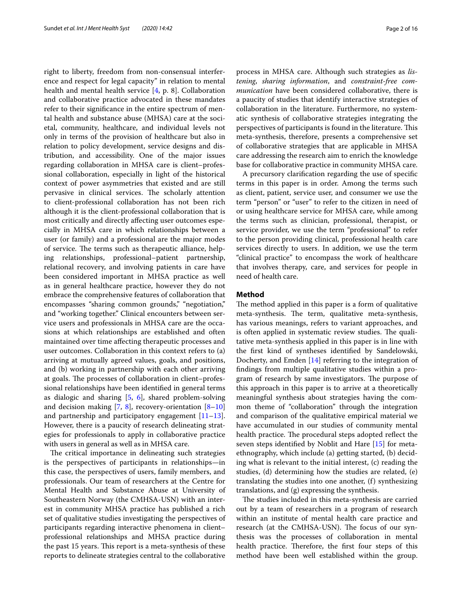right to liberty, freedom from non-consensual interference and respect for legal capacity" in relation to mental health and mental health service [\[4](#page-14-2), p. 8]. Collaboration and collaborative practice advocated in these mandates refer to their signifcance in the entire spectrum of mental health and substance abuse (MHSA) care at the societal, community, healthcare, and individual levels not only in terms of the provision of healthcare but also in relation to policy development, service designs and distribution, and accessibility. One of the major issues regarding collaboration in MHSA care is client–professional collaboration, especially in light of the historical context of power asymmetries that existed and are still pervasive in clinical services. The scholarly attention to client-professional collaboration has not been rich although it is the client-professional collaboration that is most critically and directly afecting user outcomes especially in MHSA care in which relationships between a user (or family) and a professional are the major modes of service. The terms such as therapeutic alliance, helping relationships, professional–patient partnership, relational recovery, and involving patients in care have been considered important in MHSA practice as well as in general healthcare practice, however they do not embrace the comprehensive features of collaboration that encompasses "sharing common grounds," "negotiation," and "working together." Clinical encounters between service users and professionals in MHSA care are the occasions at which relationships are established and often maintained over time afecting therapeutic processes and user outcomes. Collaboration in this context refers to (a) arriving at mutually agreed values, goals, and positions, and (b) working in partnership with each other arriving at goals. The processes of collaboration in client–professional relationships have been identifed in general terms as dialogic and sharing [[5](#page-15-0), [6](#page-15-1)], shared problem-solving and decision making  $[7, 8]$  $[7, 8]$  $[7, 8]$  $[7, 8]$ , recovery-orientation  $[8-10]$  $[8-10]$  $[8-10]$ and partnership and participatory engagement [[11](#page-15-5)[–13](#page-15-6)]. However, there is a paucity of research delineating strategies for professionals to apply in collaborative practice with users in general as well as in MHSA care.

The critical importance in delineating such strategies is the perspectives of participants in relationships—in this case, the perspectives of users, family members, and professionals. Our team of researchers at the Centre for Mental Health and Substance Abuse at University of Southeastern Norway (the CMHSA-USN) with an interest in community MHSA practice has published a rich set of qualitative studies investigating the perspectives of participants regarding interactive phenomena in client– professional relationships and MHSA practice during the past 15 years. This report is a meta-synthesis of these reports to delineate strategies central to the collaborative process in MHSA care. Although such strategies as *listening*, *sharing information*, and *constraint*-*free communication* have been considered collaborative, there is a paucity of studies that identify interactive strategies of collaboration in the literature. Furthermore, no systematic synthesis of collaborative strategies integrating the perspectives of participants is found in the literature. This meta-synthesis, therefore, presents a comprehensive set of collaborative strategies that are applicable in MHSA care addressing the research aim to enrich the knowledge base for collaborative practice in community MHSA care.

A precursory clarifcation regarding the use of specifc terms in this paper is in order. Among the terms such as client, patient, service user, and consumer we use the term "person" or "user" to refer to the citizen in need of or using healthcare service for MHSA care, while among the terms such as clinician, professional, therapist, or service provider, we use the term "professional" to refer to the person providing clinical, professional health care services directly to users. In addition, we use the term "clinical practice" to encompass the work of healthcare that involves therapy, care, and services for people in need of health care.

#### **Method**

The method applied in this paper is a form of qualitative meta-synthesis. The term, qualitative meta-synthesis, has various meanings, refers to variant approaches, and is often applied in systematic review studies. The qualitative meta-synthesis applied in this paper is in line with the frst kind of syntheses identifed by Sandelowski, Docherty, and Emden [[14\]](#page-15-7) referring to the integration of fndings from multiple qualitative studies within a program of research by same investigators. The purpose of this approach in this paper is to arrive at a theoretically meaningful synthesis about strategies having the common theme of "collaboration" through the integration and comparison of the qualitative empirical material we have accumulated in our studies of community mental health practice. The procedural steps adopted reflect the seven steps identifed by Noblit and Hare [\[15](#page-15-8)] for metaethnography, which include (a) getting started, (b) deciding what is relevant to the initial interest, (c) reading the studies, (d) determining how the studies are related, (e) translating the studies into one another, (f) synthesizing translations, and (g) expressing the synthesis.

The studies included in this meta-synthesis are carried out by a team of researchers in a program of research within an institute of mental health care practice and research (at the CMHSA-USN). The focus of our synthesis was the processes of collaboration in mental health practice. Therefore, the first four steps of this method have been well established within the group.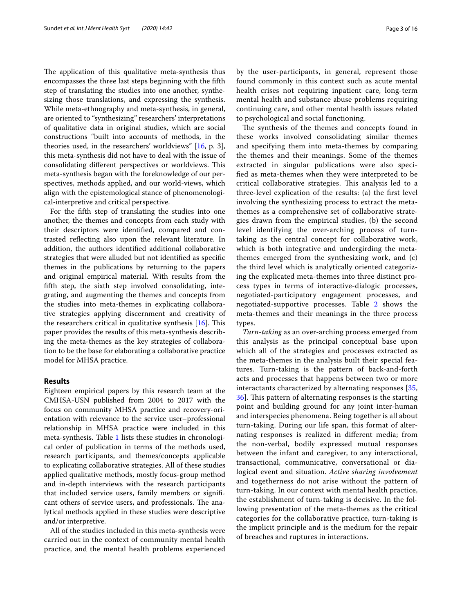The application of this qualitative meta-synthesis thus encompasses the three last steps beginning with the ffth step of translating the studies into one another, synthesizing those translations, and expressing the synthesis. While meta-ethnography and meta-synthesis, in general, are oriented to "synthesizing" researchers' interpretations of qualitative data in original studies, which are social constructions "built into accounts of methods, in the theories used, in the researchers' worldviews" [[16,](#page-15-9) p. 3], this meta-synthesis did not have to deal with the issue of consolidating different perspectives or worldviews. This meta-synthesis began with the foreknowledge of our perspectives, methods applied, and our world-views, which align with the epistemological stance of phenomenological-interpretive and critical perspective.

For the ffth step of translating the studies into one another, the themes and concepts from each study with their descriptors were identifed, compared and contrasted refecting also upon the relevant literature. In addition, the authors identifed additional collaborative strategies that were alluded but not identifed as specifc themes in the publications by returning to the papers and original empirical material. With results from the ffth step, the sixth step involved consolidating, integrating, and augmenting the themes and concepts from the studies into meta-themes in explicating collaborative strategies applying discernment and creativity of the researchers critical in qualitative synthesis  $[16]$  $[16]$ . This paper provides the results of this meta-synthesis describing the meta-themes as the key strategies of collaboration to be the base for elaborating a collaborative practice model for MHSA practice.

#### **Results**

Eighteen empirical papers by this research team at the CMHSA-USN published from 2004 to 2017 with the focus on community MHSA practice and recovery-orientation with relevance to the service user–professional relationship in MHSA practice were included in this meta-synthesis. Table [1](#page-3-0) lists these studies in chronological order of publication in terms of the methods used, research participants, and themes/concepts applicable to explicating collaborative strategies. All of these studies applied qualitative methods, mostly focus-group method and in-depth interviews with the research participants that included service users, family members or signifcant others of service users, and professionals. The analytical methods applied in these studies were descriptive and/or interpretive.

All of the studies included in this meta-synthesis were carried out in the context of community mental health practice, and the mental health problems experienced by the user-participants, in general, represent those found commonly in this context such as acute mental health crises not requiring inpatient care, long-term mental health and substance abuse problems requiring continuing care, and other mental health issues related to psychological and social functioning.

The synthesis of the themes and concepts found in these works involved consolidating similar themes and specifying them into meta-themes by comparing the themes and their meanings. Some of the themes extracted in singular publications were also specifed as meta-themes when they were interpreted to be critical collaborative strategies. This analysis led to a three-level explication of the results: (a) the frst level involving the synthesizing process to extract the metathemes as a comprehensive set of collaborative strategies drawn from the empirical studies, (b) the second level identifying the over-arching process of turntaking as the central concept for collaborative work, which is both integrative and undergirding the metathemes emerged from the synthesizing work, and (c) the third level which is analytically oriented categorizing the explicated meta-themes into three distinct process types in terms of interactive-dialogic processes, negotiated-participatory engagement processes, and negotiated-supportive processes. Table [2](#page-7-0) shows the meta-themes and their meanings in the three process types.

*Turn*-*taking* as an over-arching process emerged from this analysis as the principal conceptual base upon which all of the strategies and processes extracted as the meta-themes in the analysis built their special features. Turn-taking is the pattern of back-and-forth acts and processes that happens between two or more interactants characterized by alternating responses [\[35](#page-15-10), [36\]](#page-15-11). This pattern of alternating responses is the starting point and building ground for any joint inter-human and interspecies phenomena. Being together is all about turn-taking. During our life span, this format of alternating responses is realized in diferent media; from the non-verbal, bodily expressed mutual responses between the infant and caregiver, to any interactional, transactional, communicative, conversational or dialogical event and situation. *Active sharing involvement* and togetherness do not arise without the pattern of turn-taking. In our context with mental health practice, the establishment of turn-taking is decisive. In the following presentation of the meta-themes as the critical categories for the collaborative practice, turn-taking is the implicit principle and is the medium for the repair of breaches and ruptures in interactions.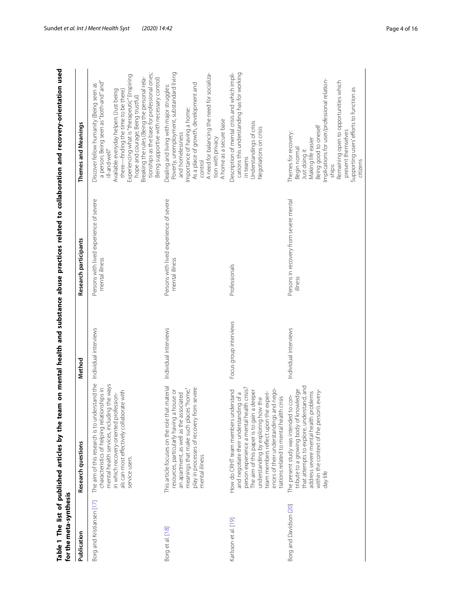<span id="page-3-0"></span>

| for the meta-synthesis    |                                                                                                                                                                                                                                                                                                                                               |                        |                                                           | Table 1 The list of published articles by the team on mental health and substance abuse practices related to collaboration and recovery-orientation used                                                                                                                                                                                                                                                               |
|---------------------------|-----------------------------------------------------------------------------------------------------------------------------------------------------------------------------------------------------------------------------------------------------------------------------------------------------------------------------------------------|------------------------|-----------------------------------------------------------|------------------------------------------------------------------------------------------------------------------------------------------------------------------------------------------------------------------------------------------------------------------------------------------------------------------------------------------------------------------------------------------------------------------------|
| Publication               | Research questions                                                                                                                                                                                                                                                                                                                            | Method                 | Research participants                                     | Themes and Meanings                                                                                                                                                                                                                                                                                                                                                                                                    |
| Borg and Kristiansen [17] | The aim of this research is to understand the<br>mental health services, including the ways<br>characteristics of helping relationships in<br>als can most effectively collaborate with<br>ofession-<br>in which recovery-oriented pr<br>service users.                                                                                       | Individual interviews  | Persons with lived experience of severe<br>mental illness | tionships as the base for professional ones;<br>Experiencing what is "therapeutic" (Inspiring<br>Breaking the rules (Being the personal rela-<br>Being supportive with necessary control)<br>a person; Being seen as "both-and" and"<br>Discover fellow humanity (Being seen as<br>Available everyday helpers (Just being<br>there-finding the time to be there)<br>hope and courage; Being trustful)<br>ill-and-well" |
| Borg et al. [18]          | This article focuses on the role that material<br>play in processes of recovery from severe<br>meanings that make such places "home,"<br>a house or<br>an apartment, as well as the associated<br>resources, particularly having<br>mental illness                                                                                            | Individual interviews  | Persons with lived experience of severe<br>mental illness | Poverty, unemployment, substandard living<br>A need for balancing the need for socializa-<br>As a place of growth, development and<br>Dealing and living with major struggles:<br>Importance of having a home:<br>A home as a secure base<br>and homelessness<br>tion with privacy<br>control                                                                                                                          |
| Karlsson et al. [19]      | and negotiate their understanding of a<br>person experience a mental health crisis?<br>ences of their understandings and nego-<br>How do CRHT team members understand<br>The aim of this paper is to gain a deeper<br>team members reflect upon the experi-<br>tiations related to mental health crisis<br>understanding by exploring how the | Focus group interviews | Professionals                                             | Description of mental crisis and which impli-<br>cations this understanding has for working<br>Understandings of crisis<br>Negotiations on crisis<br>in teams                                                                                                                                                                                                                                                          |
| Borg and Davidson [20]    | that attempts to explore, understand, and<br>tribute to a growing body of knowledge<br>within the context of the person's every-<br>problems<br>to con-<br>The present study was intended<br>address severe mental health<br>day life                                                                                                         | Individual interviews  | Persons in recovery from severe mental<br>illness         | mplications for user/professional relation-<br>Remaining open to opportunities which<br>Supporting users' efforts to function as<br>Being good to oneself<br>present themselves<br>Themes for recovery:<br>Making life easier<br>Begin normal<br>Just doing it<br>citizens<br>ships:                                                                                                                                   |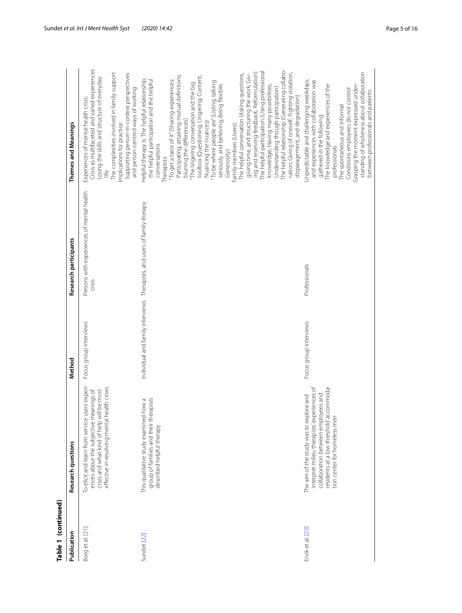| Table 1 (continued) |                                                                                                                                                                                                          |                        |                                                                          |                                                                                                                                                                                                                                                                                                                                                                                                                                                                                                                                                                                                                                                                                                                                                                                                                                                                                                                                 |
|---------------------|----------------------------------------------------------------------------------------------------------------------------------------------------------------------------------------------------------|------------------------|--------------------------------------------------------------------------|---------------------------------------------------------------------------------------------------------------------------------------------------------------------------------------------------------------------------------------------------------------------------------------------------------------------------------------------------------------------------------------------------------------------------------------------------------------------------------------------------------------------------------------------------------------------------------------------------------------------------------------------------------------------------------------------------------------------------------------------------------------------------------------------------------------------------------------------------------------------------------------------------------------------------------|
| Publication         | Research questions                                                                                                                                                                                       | Method                 | Research participants                                                    | Themes and Meanings                                                                                                                                                                                                                                                                                                                                                                                                                                                                                                                                                                                                                                                                                                                                                                                                                                                                                                             |
| Borg et al. [21]    | To elicit and learn from service users' experi-<br>effective in resolving mental health crises<br>ences about the subjective meanings of<br>crisis and what kind of help will be most                    | Focus group interviews | Persons with experiences of mental health<br>crisis                      | Crisis as multifaceted and varied experiences<br>The complexities involved in family support<br>Supporting person-in-context perspectives<br>Losing the skills and structure of everyday<br>and person-centred ways of working<br>Experiences of mental health crisis:<br>Implications for practice:                                                                                                                                                                                                                                                                                                                                                                                                                                                                                                                                                                                                                            |
| Sundet [22]         | rerapists<br>This qualitative study examined how a<br>group of families and their th<br>described helpful therapy                                                                                        |                        | Individual and family interviews Therapists, and users of family therapy | The helpful relationship (Generating collabo-<br>ing and receiving feedback; Reformulation)<br>The helpful participation (Using professional<br>The helpful conversation (Asking questions,<br>ration; Giving of oneself; Fighting violation,<br>giving time, and structuring the work; Giv-<br>Participating, attaining mutual definitions;<br>toolbox (Questioning; Lingering; Content;<br>Helpful therapy is: The helpful relationship,<br>the helpful participation and the helpful<br>"To get a taste of it" (Sharing experiences;<br>"To be where people are" (Listing, talking<br>The lingering conversation and the big<br>seriously, and believing; Being flexible;<br>knowledge; Having many possibilities;<br>Understanding though participation)<br>disparagement, and degradation)<br>blurring the differences)<br>Nuancing the nuances)<br>Family members (Users):<br>conversations<br>Generosity)<br>Therapists: |
| Ervik et al. [23]   | interpret milieu therapists' experiences of<br>residents at a low threshold accommoda-<br>collaboration between employees and<br>The aim of the study was to explore and<br>tion center for homeless men | Focus group interviews | Professionals                                                            | standing of wholeness about collaboration<br>Jnpredictable and challenging weekdays,<br>and experiences with collaboration was<br>The knowledge and experiences of the<br>Grasping the moment expressed under-<br>Conditions employees do not control<br>between professionals and patients<br>The spontaneous and informal<br>gathered in the following:<br>professionals                                                                                                                                                                                                                                                                                                                                                                                                                                                                                                                                                      |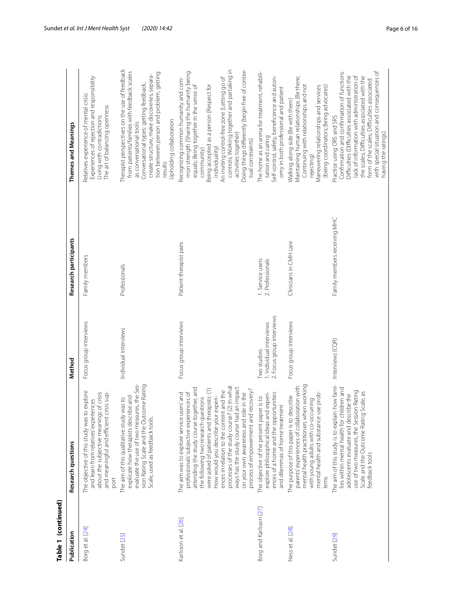| Table 1 (continued)    |                                                                                                                                                                                                                                                                                                                                                                                                                                                                                      |                                                                       |                                      |                                                                                                                                                                                                                                                                                                                                                                                                      |
|------------------------|--------------------------------------------------------------------------------------------------------------------------------------------------------------------------------------------------------------------------------------------------------------------------------------------------------------------------------------------------------------------------------------------------------------------------------------------------------------------------------------|-----------------------------------------------------------------------|--------------------------------------|------------------------------------------------------------------------------------------------------------------------------------------------------------------------------------------------------------------------------------------------------------------------------------------------------------------------------------------------------------------------------------------------------|
| Publication            | Research questions                                                                                                                                                                                                                                                                                                                                                                                                                                                                   | Method                                                                | Research participants                | Themes and Meanings                                                                                                                                                                                                                                                                                                                                                                                  |
| Borg et al. [24]       | to explore<br>about the subjective meanings of crisis<br>crisis sup-<br>and learn from relatives' experiences<br>The objective of this study was<br>and meaningful and efficient<br>port                                                                                                                                                                                                                                                                                             | Focus group interviews                                                | Family members                       | Experiences of rejection and responsibility<br>Relatives experience of mental crisis:<br>The art of balancing openness<br>Living with contradictions                                                                                                                                                                                                                                                 |
| Sundet [25]            | evaluate the use of two measures, the Ses-<br>tcome Rating<br>explicate how therapists describe and<br>The aim of this qualitative study was to<br>Scale, used as feedback tools.<br>sion Rating Scale and the Ou                                                                                                                                                                                                                                                                    | Individual interviews                                                 | Professionals                        | Therapist perspectives on the use of feedback<br>from patients/families with feedback scales<br>tion between person and problem, getting<br>create structure, make discoveries, separa-<br>Conversational types: getting feedback,<br>Upholding collaboration<br>as conversational tools<br>results                                                                                                  |
| Karlsson et al. [26]   | processes of the study course? (2) In what<br>ways has the study course had an impact<br>attending the study course together, and<br>were asked of patients and therapists: (1)<br>process of empowerment and recovery?<br>ences in relation to the content and the<br>professionals' subjective experiences of<br>on your own awareness and role in the<br>The aim was to explore service users' and<br>How would you describe your experi-<br>the following two research questions | Focus group interviews                                                | Patient-therapist pairs              | Doing things differently (begin free of contex-<br>controls; Working together and partaking in<br>mon strength (Sharing the humanity being<br>An inviting control-free zone (Letting go of<br>Recognizing common humanity and com-<br>Being accepted as a person (Respect for<br>equals; Being together in the sense of<br>activities together)<br>tual constraints)<br>individuality)<br>community) |
| Borg and Karlsson [27] | ences of a home and the opportunities<br>explore philosophical ideas and experi-<br>The objective of the present paper is to<br>and dilemmas of home treatment                                                                                                                                                                                                                                                                                                                       | 2. Focus group interviews<br>1. Individual interviews<br>Two studies: | 1. Service users<br>2. Professionals | The home as an arena for treatment, rehabili-<br>Self-control, safety, beneficence and auton-<br>omy in both professional and patient<br>tation and caring                                                                                                                                                                                                                                           |
| Ness et al. [28]       | mental health practitioners when working<br>parents' experiences of collaboration with<br>mental health and substance use prob-<br>describe<br>with young adults with co-occurring<br>The purpose of this paper is to<br>lems                                                                                                                                                                                                                                                        | Focus group interviews                                                | Clinicians in CMH care               | Maintaining human relationships (Be there;<br>Continuing with relationships and not<br>Maneuvering relationships and services<br>(being coordinators; Being advocates)<br>Walking along side (Be with them)<br>rejecting)                                                                                                                                                                            |
| Sundet [29]            | The aim of this study is to explain how fami-<br>lies within mental health for children and<br>use of two measures, the Session Rating<br>Scale and the Outcome Rating Scale, as<br>adolescents evaluate and describe the<br>feedback tools                                                                                                                                                                                                                                          | Interviews (CQR)                                                      | Family members receiving MHC         | with special situation and consequences of<br>Confirmation and confirmation of functions<br>Difficulties (Difficulties associated with the<br>lack of information with administration of<br>the scales; Difficulties associated with the<br>form of the scales; Difficulties associated<br>Practice using ORS and SRS<br>naving the ratings)                                                         |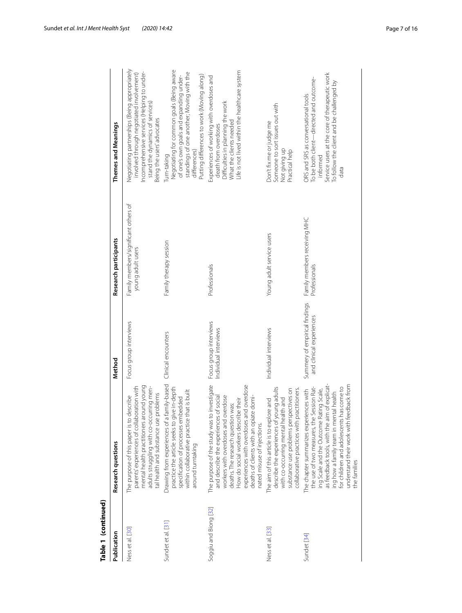| Table 1 (continued)   |                                                                                                                                                                                                                                                                                                                                   |                                                           |                                                           |                                                                                                                                                                                                                |
|-----------------------|-----------------------------------------------------------------------------------------------------------------------------------------------------------------------------------------------------------------------------------------------------------------------------------------------------------------------------------|-----------------------------------------------------------|-----------------------------------------------------------|----------------------------------------------------------------------------------------------------------------------------------------------------------------------------------------------------------------|
| Publication           | Research questions                                                                                                                                                                                                                                                                                                                | Method                                                    | Research participants                                     | Themes and Meanings                                                                                                                                                                                            |
| Ness et al. [30]      | mental health practitioners around young<br>adults struggling with co-occurring men-<br>parents' experiences of collaboration with<br>tal health and substance use problems<br>The purpose of this paper is to describe                                                                                                           | Focus group interviews                                    | Family members/significant others of<br>young adult users | Negotiating partnerships (Being appropriately<br>Incomprehensive services (Helping to under-<br>involved through negotiated involvement)<br>stand the dynamics of services)<br>Being the users' advocates      |
| Sundet et al. [31]    | Drawing from experiences of a family-based<br>practice the article seeks to give in-depth<br>within collaborative practice that is built<br>specification of processes embedded<br>around turntaking                                                                                                                              | Clinical encounters                                       | Family therapy session                                    | Negotiating for common goals (Being aware<br>standings of one another; Moving with the<br>of one's own goals and expanding under-<br>Putting differences to work (Moving along)<br>differences)<br>Turn-taking |
| Soggiu and Biong [32] | The purpose of the study was to investigate<br>experiences with overdoses and overdose<br>deaths of clients with an opiate domi-<br>of social<br>workers with overdoses and overdose<br>How do social workers describe their<br>deaths. The research question was:<br>and describe the experiences<br>nated misuse of injections. | Focus group interviews<br>Individual interviews           | Professionals                                             | Life is not lived within the health care system<br>Experiences of working with overdoses and<br>Difficulties in planning the work<br>What the clients needed<br>death from overdoses                           |
| Ness et al. [33]      | describe the experiences of young adults<br>substance use problems perspectives on<br>collaborative practices with practitioners.<br>with co-occurring mental health and<br>The aim of this article is to explore and                                                                                                             | Individual interviews                                     | Young adult service users                                 | Someone to sort issues out with<br>Don't fix me or judge me<br>Not giving up<br>Practical help                                                                                                                 |
| Sundet [34]           | as feedback tools, with the aim of explicat-<br>understand their work with feedback from<br>for children and adolescents has come to<br>the use of two measures, the Session Rat-<br>ing Scale and the Outcome Rating Scale,<br>The chapter summarizes experiences with<br>ing how a family team in mental health<br>the families | Summery of empirical findings<br>and clinical experiences | Family members receiving MHC<br>Professionals             | Service users at the core of therapeutic work<br>To be both client-directed and outcome-<br>To follow the client and be challenged by<br>ORS and SRS as conversational tools<br>informed<br>data               |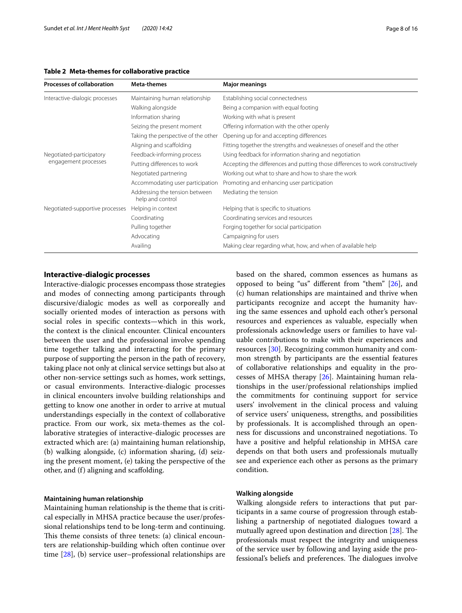#### <span id="page-7-0"></span>**Table 2 Meta-themes for collaborative practice**

| <b>Processes of collaboration</b> | Meta-themes                                        | <b>Major meanings</b>                                                          |
|-----------------------------------|----------------------------------------------------|--------------------------------------------------------------------------------|
| Interactive-dialogic processes    | Maintaining human relationship                     | Establishing social connectedness                                              |
|                                   | Walking alongside                                  | Being a companion with equal footing                                           |
|                                   | Information sharing                                | Working with what is present                                                   |
|                                   | Seizing the present moment                         | Offering information with the other openly                                     |
|                                   | Taking the perspective of the other                | Opening up for and accepting differences                                       |
|                                   | Aligning and scaffolding                           | Fitting together the strengths and weaknesses of oneself and the other         |
| Negotiated-participatory          | Feedback-informing process                         | Using feedback for information sharing and negotiation                         |
| engagement processes              | Putting differences to work                        | Accepting the differences and putting those differences to work constructively |
|                                   | Negotiated partnering                              | Working out what to share and how to share the work                            |
|                                   | Accommodating user participation                   | Promoting and enhancing user participation                                     |
|                                   | Addressing the tension between<br>help and control | Mediating the tension                                                          |
| Negotiated-supportive processes   | Helping in context                                 | Helping that is specific to situations                                         |
|                                   | Coordinating                                       | Coordinating services and resources                                            |
|                                   | Pulling together                                   | Forging together for social participation                                      |
|                                   | Advocating                                         | Campaigning for users                                                          |
|                                   | Availing                                           | Making clear regarding what, how, and when of available help                   |

#### **Interactive-dialogic processes**

Interactive-dialogic processes encompass those strategies and modes of connecting among participants through discursive/dialogic modes as well as corporeally and socially oriented modes of interaction as persons with social roles in specifc contexts—which in this work, the context is the clinical encounter. Clinical encounters between the user and the professional involve spending time together talking and interacting for the primary purpose of supporting the person in the path of recovery, taking place not only at clinical service settings but also at other non-service settings such as homes, work settings, or casual environments. Interactive-dialogic processes in clinical encounters involve building relationships and getting to know one another in order to arrive at mutual understandings especially in the context of collaborative practice. From our work, six meta-themes as the collaborative strategies of interactive-dialogic processes are extracted which are: (a) maintaining human relationship, (b) walking alongside, (c) information sharing, (d) seizing the present moment, (e) taking the perspective of the other, and (f) aligning and scafolding.

#### **Maintaining human relationship**

Maintaining human relationship is the theme that is critical especially in MHSA practice because the user/professional relationships tend to be long-term and continuing. This theme consists of three tenets: (a) clinical encounters are relationship-building which often continue over time [[28](#page-15-23)], (b) service user–professional relationships are based on the shared, common essences as humans as opposed to being "us" diferent from "them" [[26\]](#page-15-21), and (c) human relationships are maintained and thrive when participants recognize and accept the humanity having the same essences and uphold each other's personal resources and experiences as valuable, especially when professionals acknowledge users or families to have valuable contributions to make with their experiences and resources [\[30\]](#page-15-25). Recognizing common humanity and common strength by participants are the essential features of collaborative relationships and equality in the processes of MHSA therapy [[26\]](#page-15-21). Maintaining human relationships in the user/professional relationships implied the commitments for continuing support for service users' involvement in the clinical process and valuing of service users' uniqueness, strengths, and possibilities by professionals. It is accomplished through an openness for discussions and unconstrained negotiations. To have a positive and helpful relationship in MHSA care depends on that both users and professionals mutually see and experience each other as persons as the primary condition.

#### **Walking alongside**

Walking alongside refers to interactions that put participants in a same course of progression through establishing a partnership of negotiated dialogues toward a mutually agreed upon destination and direction  $[28]$  $[28]$ . The professionals must respect the integrity and uniqueness of the service user by following and laying aside the professional's beliefs and preferences. The dialogues involve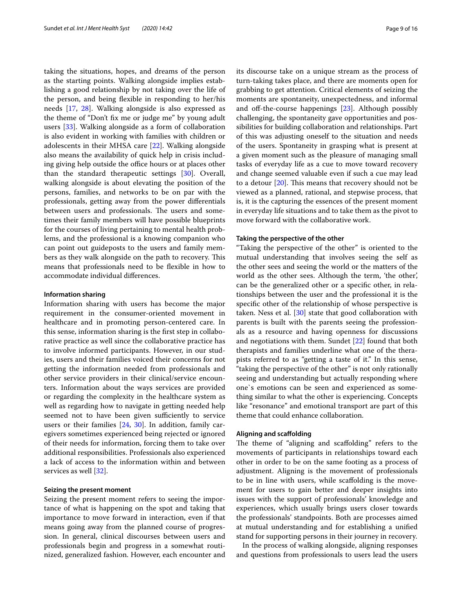taking the situations, hopes, and dreams of the person as the starting points. Walking alongside implies establishing a good relationship by not taking over the life of the person, and being fexible in responding to her/his needs [\[17,](#page-15-12) [28\]](#page-15-23). Walking alongside is also expressed as the theme of "Don't fx me or judge me" by young adult users [\[33](#page-15-28)]. Walking alongside as a form of collaboration is also evident in working with families with children or adolescents in their MHSA care [\[22](#page-15-17)]. Walking alongside also means the availability of quick help in crisis including giving help outside the office hours or at places other than the standard therapeutic settings [[30](#page-15-25)]. Overall, walking alongside is about elevating the position of the persons, families, and networks to be on par with the professionals, getting away from the power diferentials between users and professionals. The users and sometimes their family members will have possible blueprints for the courses of living pertaining to mental health problems, and the professional is a knowing companion who can point out guideposts to the users and family members as they walk alongside on the path to recovery. This means that professionals need to be fexible in how to accommodate individual diferences.

#### **Information sharing**

Information sharing with users has become the major requirement in the consumer-oriented movement in healthcare and in promoting person-centered care. In this sense, information sharing is the frst step in collaborative practice as well since the collaborative practice has to involve informed participants. However, in our studies, users and their families voiced their concerns for not getting the information needed from professionals and other service providers in their clinical/service encounters. Information about the ways services are provided or regarding the complexity in the healthcare system as well as regarding how to navigate in getting needed help seemed not to have been given sufficiently to service users or their families [\[24,](#page-15-19) [30\]](#page-15-25). In addition, family caregivers sometimes experienced being rejected or ignored of their needs for information, forcing them to take over additional responsibilities. Professionals also experienced a lack of access to the information within and between services as well [[32\]](#page-15-27).

#### **Seizing the present moment**

Seizing the present moment refers to seeing the importance of what is happening on the spot and taking that importance to move forward in interaction, even if that means going away from the planned course of progression. In general, clinical discourses between users and professionals begin and progress in a somewhat routinized, generalized fashion. However, each encounter and its discourse take on a unique stream as the process of turn-taking takes place, and there are moments open for grabbing to get attention. Critical elements of seizing the moments are spontaneity, unexpectedness, and informal and off-the-course happenings [\[23](#page-15-18)]. Although possibly challenging, the spontaneity gave opportunities and possibilities for building collaboration and relationships. Part of this was adjusting oneself to the situation and needs of the users. Spontaneity in grasping what is present at a given moment such as the pleasure of managing small tasks of everyday life as a cue to move toward recovery and change seemed valuable even if such a cue may lead to a detour  $[20]$  $[20]$  $[20]$ . This means that recovery should not be viewed as a planned, rational, and stepwise process, that is, it is the capturing the essences of the present moment in everyday life situations and to take them as the pivot to move forward with the collaborative work.

#### **Taking the perspective of the other**

"Taking the perspective of the other" is oriented to the mutual understanding that involves seeing the self as the other sees and seeing the world or the matters of the world as the other sees. Although the term, 'the other', can be the generalized other or a specifc other, in relationships between the user and the professional it is the specifc other of the relationship of whose perspective is taken. Ness et al. [[30\]](#page-15-25) state that good collaboration with parents is built with the parents seeing the professionals as a resource and having openness for discussions and negotiations with them. Sundet [[22\]](#page-15-17) found that both therapists and families underline what one of the therapists referred to as "getting a taste of it." In this sense, "taking the perspective of the other" is not only rationally seeing and understanding but actually responding where one`s emotions can be seen and experienced as something similar to what the other is experiencing. Concepts like "resonance" and emotional transport are part of this theme that could enhance collaboration.

#### **Aligning and scafolding**

The theme of "aligning and scaffolding" refers to the movements of participants in relationships toward each other in order to be on the same footing as a process of adjustment. Aligning is the movement of professionals to be in line with users, while scafolding is the movement for users to gain better and deeper insights into issues with the support of professionals' knowledge and experiences, which usually brings users closer towards the professionals' standpoints. Both are processes aimed at mutual understanding and for establishing a unifed stand for supporting persons in their journey in recovery.

In the process of walking alongside, aligning responses and questions from professionals to users lead the users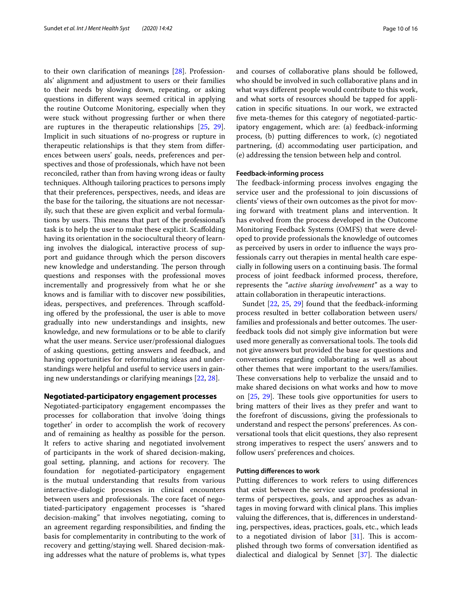to their own clarifcation of meanings [\[28\]](#page-15-23). Professionals' alignment and adjustment to users or their families to their needs by slowing down, repeating, or asking questions in diferent ways seemed critical in applying the routine Outcome Monitoring, especially when they were stuck without progressing further or when there are ruptures in the therapeutic relationships [\[25,](#page-15-20) [29](#page-15-24)]. Implicit in such situations of no-progress or rupture in therapeutic relationships is that they stem from diferences between users' goals, needs, preferences and perspectives and those of professionals, which have not been reconciled, rather than from having wrong ideas or faulty techniques. Although tailoring practices to persons imply that their preferences, perspectives, needs, and ideas are the base for the tailoring, the situations are not necessarily, such that these are given explicit and verbal formulations by users. This means that part of the professional's task is to help the user to make these explicit. Scafolding having its orientation in the sociocultural theory of learning involves the dialogical, interactive process of support and guidance through which the person discovers new knowledge and understanding. The person through questions and responses with the professional moves incrementally and progressively from what he or she knows and is familiar with to discover new possibilities, ideas, perspectives, and preferences. Through scaffolding ofered by the professional, the user is able to move gradually into new understandings and insights, new knowledge, and new formulations or to be able to clarify what the user means. Service user/professional dialogues of asking questions, getting answers and feedback, and having opportunities for reformulating ideas and understandings were helpful and useful to service users in gaining new understandings or clarifying meanings [[22,](#page-15-17) [28\]](#page-15-23).

#### **Negotiated-participatory engagement processes**

Negotiated-participatory engagement encompasses the processes for collaboration that involve 'doing things together' in order to accomplish the work of recovery and of remaining as healthy as possible for the person. It refers to active sharing and negotiated involvement of participants in the work of shared decision-making, goal setting, planning, and actions for recovery. The foundation for negotiated-participatory engagement is the mutual understanding that results from various interactive-dialogic processes in clinical encounters between users and professionals. The core facet of negotiated-participatory engagement processes is "shared decision-making" that involves negotiating, coming to an agreement regarding responsibilities, and fnding the basis for complementarity in contributing to the work of recovery and getting/staying well. Shared decision-making addresses what the nature of problems is, what types and courses of collaborative plans should be followed, who should be involved in such collaborative plans and in what ways diferent people would contribute to this work, and what sorts of resources should be tapped for application in specifc situations. In our work, we extracted fve meta-themes for this category of negotiated-participatory engagement, which are: (a) feedback-informing process, (b) putting diferences to work, (c) negotiated partnering, (d) accommodating user participation, and (e) addressing the tension between help and control.

#### **Feedback-informing process**

The feedback-informing process involves engaging the service user and the professional to join discussions of clients' views of their own outcomes as the pivot for moving forward with treatment plans and intervention. It has evolved from the process developed in the Outcome Monitoring Feedback Systems (OMFS) that were developed to provide professionals the knowledge of outcomes as perceived by users in order to infuence the ways professionals carry out therapies in mental health care especially in following users on a continuing basis. The formal process of joint feedback informed process, therefore, represents the "*active sharing involvement"* as a way to attain collaboration in therapeutic interactions.

Sundet [[22,](#page-15-17) [25](#page-15-20), [29](#page-15-24)] found that the feedback-informing process resulted in better collaboration between users/ families and professionals and better outcomes. The userfeedback tools did not simply give information but were used more generally as conversational tools. The tools did not give answers but provided the base for questions and conversations regarding collaborating as well as about other themes that were important to the users/families. These conversations help to verbalize the unsaid and to make shared decisions on what works and how to move on [\[25](#page-15-20), [29](#page-15-24)]. These tools give opportunities for users to bring matters of their lives as they prefer and want to the forefront of discussions, giving the professionals to understand and respect the persons' preferences. As conversational tools that elicit questions, they also represent strong imperatives to respect the users' answers and to follow users' preferences and choices.

#### **Putting diferences to work**

Putting diferences to work refers to using diferences that exist between the service user and professional in terms of perspectives, goals, and approaches as advantages in moving forward with clinical plans. This implies valuing the diferences, that is, diferences in understanding, perspectives, ideas, practices, goals, etc., which leads to a negotiated division of labor  $[31]$  $[31]$  $[31]$ . This is accomplished through two forms of conversation identifed as dialectical and dialogical by Sennet  $[37]$  $[37]$ . The dialectic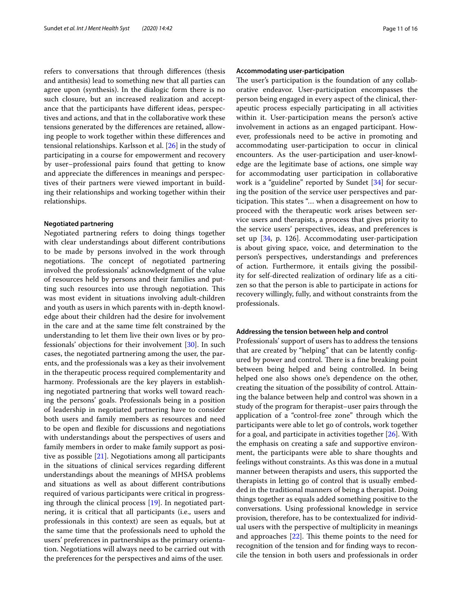refers to conversations that through diferences (thesis and antithesis) lead to something new that all parties can agree upon (synthesis). In the dialogic form there is no such closure, but an increased realization and acceptance that the participants have diferent ideas, perspectives and actions, and that in the collaborative work these tensions generated by the diferences are retained, allowing people to work together within these diferences and tensional relationships. Karlsson et al. [[26](#page-15-21)] in the study of participating in a course for empowerment and recovery by user–professional pairs found that getting to know and appreciate the diferences in meanings and perspectives of their partners were viewed important in building their relationships and working together within their relationships.

#### **Negotiated partnering**

Negotiated partnering refers to doing things together with clear understandings about diferent contributions to be made by persons involved in the work through negotiations. The concept of negotiated partnering involved the professionals' acknowledgment of the value of resources held by persons and their families and putting such resources into use through negotiation. This was most evident in situations involving adult-children and youth as users in which parents with in-depth knowledge about their children had the desire for involvement in the care and at the same time felt constrained by the understanding to let them live their own lives or by professionals' objections for their involvement [\[30\]](#page-15-25). In such cases, the negotiated partnering among the user, the parents, and the professionals was a key as their involvement in the therapeutic process required complementarity and harmony. Professionals are the key players in establishing negotiated partnering that works well toward reaching the persons' goals. Professionals being in a position of leadership in negotiated partnering have to consider both users and family members as resources and need to be open and fexible for discussions and negotiations with understandings about the perspectives of users and family members in order to make family support as positive as possible [[21\]](#page-15-16). Negotiations among all participants in the situations of clinical services regarding diferent understandings about the meanings of MHSA problems and situations as well as about diferent contributions required of various participants were critical in progressing through the clinical process [[19\]](#page-15-14). In negotiated partnering, it is critical that all participants (i.e., users and professionals in this context) are seen as equals, but at the same time that the professionals need to uphold the users' preferences in partnerships as the primary orientation. Negotiations will always need to be carried out with the preferences for the perspectives and aims of the user.

#### **Accommodating user-participation**

The user's participation is the foundation of any collaborative endeavor. User-participation encompasses the person being engaged in every aspect of the clinical, therapeutic process especially participating in all activities within it. User-participation means the person's active involvement in actions as an engaged participant. However, professionals need to be active in promoting and accommodating user-participation to occur in clinical encounters. As the user-participation and user-knowledge are the legitimate base of actions, one simple way for accommodating user participation in collaborative work is a "guideline" reported by Sundet [[34](#page-15-29)] for securing the position of the service user perspectives and participation. This states "... when a disagreement on how to proceed with the therapeutic work arises between service users and therapists, a process that gives priority to the service users' perspectives, ideas, and preferences is set up [\[34,](#page-15-29) p. 126]. Accommodating user-participation is about giving space, voice, and determination to the person's perspectives, understandings and preferences of action. Furthermore, it entails giving the possibility for self-directed realization of ordinary life as a citizen so that the person is able to participate in actions for recovery willingly, fully, and without constraints from the professionals.

#### **Addressing the tension between help and control**

Professionals' support of users has to address the tensions that are created by "helping" that can be latently confgured by power and control. There is a fine breaking point between being helped and being controlled. In being helped one also shows one's dependence on the other, creating the situation of the possibility of control. Attaining the balance between help and control was shown in a study of the program for therapist–user pairs through the application of a "control-free zone" through which the participants were able to let go of controls, work together for a goal, and participate in activities together [\[26](#page-15-21)]. With the emphasis on creating a safe and supportive environment, the participants were able to share thoughts and feelings without constraints. As this was done in a mutual manner between therapists and users, this supported the therapists in letting go of control that is usually embedded in the traditional manners of being a therapist. Doing things together as equals added something positive to the conversations. Using professional knowledge in service provision, therefore, has to be contextualized for individual users with the perspective of multiplicity in meanings and approaches  $[22]$  $[22]$  $[22]$ . This theme points to the need for recognition of the tension and for fnding ways to reconcile the tension in both users and professionals in order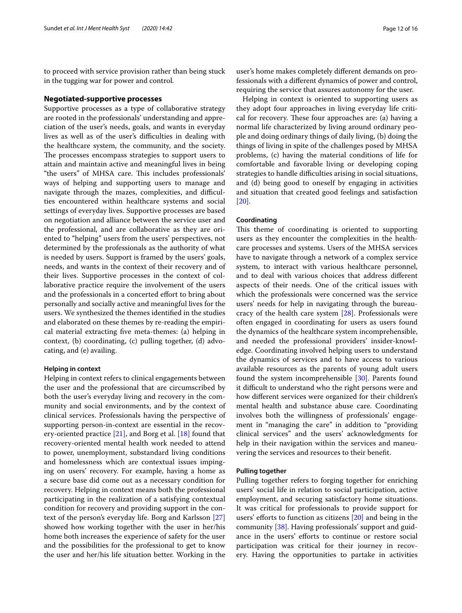to proceed with service provision rather than being stuck in the tugging war for power and control.

#### **Negotiated-supportive processes**

Supportive processes as a type of collaborative strategy are rooted in the professionals' understanding and appreciation of the user's needs, goals, and wants in everyday lives as well as of the user's difficulties in dealing with the healthcare system, the community, and the society. The processes encompass strategies to support users to attain and maintain active and meaningful lives in being "the users" of MHSA care. This includes professionals" ways of helping and supporting users to manage and navigate through the mazes, complexities, and difficulties encountered within healthcare systems and social settings of everyday lives. Supportive processes are based on negotiation and alliance between the service user and the professional, and are collaborative as they are oriented to "helping" users from the users' perspectives, not determined by the professionals as the authority of what is needed by users. Support is framed by the users' goals, needs, and wants in the context of their recovery and of their lives. Supportive processes in the context of collaborative practice require the involvement of the users and the professionals in a concerted effort to bring about personally and socially active and meaningful lives for the users. We synthesized the themes identifed in the studies and elaborated on these themes by re-reading the empirical material extracting fve meta-themes: (a) helping in context, (b) coordinating, (c) pulling together, (d) advocating, and (e) availing.

#### **Helping in context**

Helping in context refers to clinical engagements between the user and the professional that are circumscribed by both the user's everyday living and recovery in the community and social environments, and by the context of clinical services. Professionals having the perspective of supporting person-in-context are essential in the recovery-oriented practice [[21\]](#page-15-16), and Borg et al. [\[18\]](#page-15-13) found that recovery-oriented mental health work needed to attend to power, unemployment, substandard living conditions and homelessness which are contextual issues impinging on users' recovery. For example, having a home as a secure base did come out as a necessary condition for recovery. Helping in context means both the professional participating in the realization of a satisfying contextual condition for recovery and providing support in the context of the person's everyday life. Borg and Karlsson [[27](#page-15-22)] showed how working together with the user in her/his home both increases the experience of safety for the user and the possibilities for the professional to get to know the user and her/his life situation better. Working in the

user's home makes completely diferent demands on professionals with a diferent dynamics of power and control, requiring the service that assures autonomy for the user.

Helping in context is oriented to supporting users as they adopt four approaches in living everyday life critical for recovery. These four approaches are: (a) having a normal life characterized by living around ordinary people and doing ordinary things of daily living, (b) doing the things of living in spite of the challenges posed by MHSA problems, (c) having the material conditions of life for comfortable and favorable living or developing coping strategies to handle difficulties arising in social situations, and (d) being good to oneself by engaging in activities and situation that created good feelings and satisfaction [[20\]](#page-15-15).

#### **Coordinating**

This theme of coordinating is oriented to supporting users as they encounter the complexities in the healthcare processes and systems. Users of the MHSA services have to navigate through a network of a complex service system, to interact with various healthcare personnel, and to deal with various choices that address diferent aspects of their needs. One of the critical issues with which the professionals were concerned was the service users' needs for help in navigating through the bureaucracy of the health care system [\[28\]](#page-15-23). Professionals were often engaged in coordinating for users as users found the dynamics of the healthcare system incomprehensible, and needed the professional providers' insider-knowledge. Coordinating involved helping users to understand the dynamics of services and to have access to various available resources as the parents of young adult users found the system incomprehensible [\[30\]](#page-15-25). Parents found it difficult to understand who the right persons were and how diferent services were organized for their children's mental health and substance abuse care. Coordinating involves both the willingness of professionals' engagement in "managing the care" in addition to "providing clinical services" and the users' acknowledgments for help in their navigation within the services and maneuvering the services and resources to their beneft.

#### **Pulling together**

Pulling together refers to forging together for enriching users' social life in relation to social participation, active employment, and securing satisfactory home situations. It was critical for professionals to provide support for users' efforts to function as citizens  $[20]$  and being in the community [\[38](#page-15-31)]. Having professionals' support and guidance in the users' efforts to continue or restore social participation was critical for their journey in recovery. Having the opportunities to partake in activities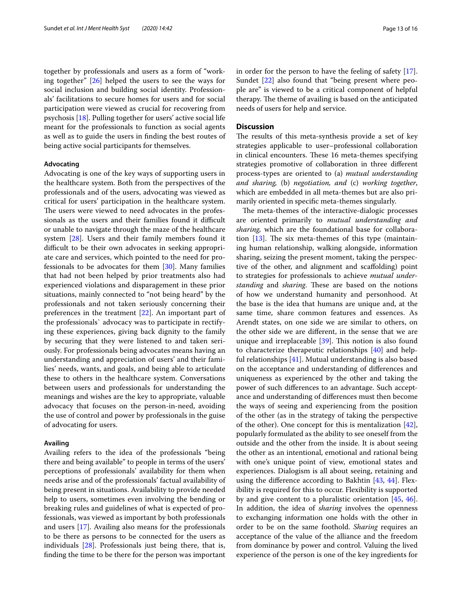together by professionals and users as a form of "working together" [[26\]](#page-15-21) helped the users to see the ways for social inclusion and building social identity. Professionals' facilitations to secure homes for users and for social participation were viewed as crucial for recovering from psychosis [\[18](#page-15-13)]. Pulling together for users' active social life meant for the professionals to function as social agents as well as to guide the users in fnding the best routes of being active social participants for themselves.

#### **Advocating**

Advocating is one of the key ways of supporting users in the healthcare system. Both from the perspectives of the professionals and of the users, advocating was viewed as critical for users' participation in the healthcare system. The users were viewed to need advocates in the professionals as the users and their families found it difficult or unable to navigate through the maze of the healthcare system [[28](#page-15-23)]. Users and their family members found it difficult to be their own advocates in seeking appropriate care and services, which pointed to the need for professionals to be advocates for them [[30](#page-15-25)]. Many families that had not been helped by prior treatments also had experienced violations and disparagement in these prior situations, mainly connected to "not being heard" by the professionals and not taken seriously concerning their preferences in the treatment [\[22](#page-15-17)]. An important part of the professionals` advocacy was to participate in rectifying these experiences, giving back dignity to the family by securing that they were listened to and taken seriously. For professionals being advocates means having an understanding and appreciation of users' and their families' needs, wants, and goals, and being able to articulate these to others in the healthcare system. Conversations between users and professionals for understanding the meanings and wishes are the key to appropriate, valuable advocacy that focuses on the person-in-need, avoiding the use of control and power by professionals in the guise of advocating for users.

#### **Availing**

Availing refers to the idea of the professionals "being there and being available" to people in terms of the users' perceptions of professionals' availability for them when needs arise and of the professionals' factual availability of being present in situations. Availability to provide needed help to users, sometimes even involving the bending or breaking rules and guidelines of what is expected of professionals, was viewed as important by both professionals and users [[17](#page-15-12)]. Availing also means for the professionals to be there as persons to be connected for the users as individuals [\[28\]](#page-15-23). Professionals just being there, that is, fnding the time to be there for the person was important in order for the person to have the feeling of safety [\[17](#page-15-12)]. Sundet [[22\]](#page-15-17) also found that "being present where people are" is viewed to be a critical component of helpful therapy. The theme of availing is based on the anticipated needs of users for help and service.

#### **Discussion**

The results of this meta-synthesis provide a set of key strategies applicable to user–professional collaboration in clinical encounters. These 16 meta-themes specifying strategies promotive of collaboration in three diferent process-types are oriented to (a) *mutual understanding and sharing,* (b) *negotiation, and* (c) *working together*, which are embedded in all meta-themes but are also primarily oriented in specifc meta-themes singularly.

The meta-themes of the interactive-dialogic processes are oriented primarily to *mutual understanding and sharing,* which are the foundational base for collaboration  $[13]$  $[13]$  $[13]$ . The six meta-themes of this type (maintaining human relationship, walking alongside, information sharing, seizing the present moment, taking the perspective of the other, and alignment and scafolding) point to strategies for professionals to achieve *mutual understanding* and *sharing*. These are based on the notions of how we understand humanity and personhood. At the base is the idea that humans are unique and, at the same time, share common features and essences. As Arendt states, on one side we are similar to others, on the other side we are diferent, in the sense that we are unique and irreplaceable  $[39]$  $[39]$  $[39]$ . This notion is also found to characterize therapeutic relationships [\[40](#page-15-33)] and helpful relationships [\[41\]](#page-15-34). Mutual understanding is also based on the acceptance and understanding of diferences and uniqueness as experienced by the other and taking the power of such diferences to an advantage. Such acceptance and understanding of diferences must then become the ways of seeing and experiencing from the position of the other (as in the strategy of taking the perspective of the other). One concept for this is mentalization [\[42](#page-15-35)], popularly formulated as the ability to see oneself from the outside and the other from the inside. It is about seeing the other as an intentional, emotional and rational being with one's unique point of view, emotional states and experiences. Dialogism is all about seeing, retaining and using the difference according to Bakhtin [\[43,](#page-15-36) [44](#page-15-37)]. Flexibility is required for this to occur. Flexibility is supported by and give content to a pluralistic orientation [[45,](#page-15-38) [46](#page-15-39)]. In addition, the idea of *sharing* involves the openness to exchanging information one holds with the other in order to be on the same foothold. *Sharing* requires an acceptance of the value of the alliance and the freedom from dominance by power and control. Valuing the lived experience of the person is one of the key ingredients for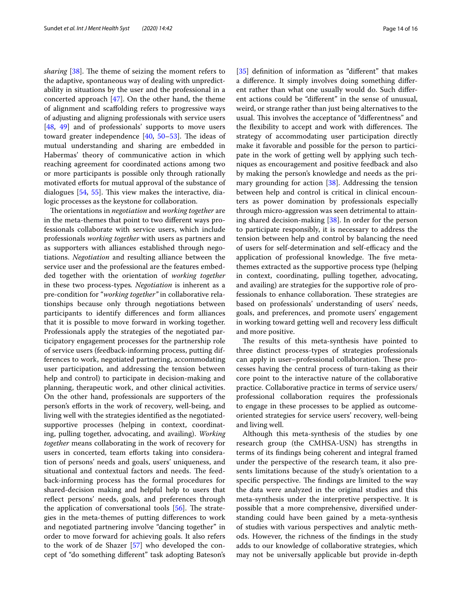*sharing* [[38\]](#page-15-31). The theme of seizing the moment refers to the adaptive, spontaneous way of dealing with unpredictability in situations by the user and the professional in a concerted approach  $[47]$  $[47]$ . On the other hand, the theme of alignment and scafolding refers to progressive ways of adjusting and aligning professionals with service users [[48,](#page-15-41) [49\]](#page-15-42) and of professionals' supports to move users toward greater independence  $[40, 50-53]$  $[40, 50-53]$  $[40, 50-53]$  $[40, 50-53]$ . The ideas of mutual understanding and sharing are embedded in Habermas' theory of communicative action in which reaching agreement for coordinated actions among two or more participants is possible only through rationally motivated eforts for mutual approval of the substance of dialogues  $[54, 55]$  $[54, 55]$  $[54, 55]$  $[54, 55]$ . This view makes the interactive, dialogic processes as the keystone for collaboration.

The orientations in *negotiation* and *working together* are in the meta-themes that point to two diferent ways professionals collaborate with service users, which include professionals *working together* with users as partners and as supporters with alliances established through negotiations. *Negotiation* and resulting alliance between the service user and the professional are the features embedded together with the orientation of *working together* in these two process-types*. Negotiation* is inherent as a pre-condition for "*working together"* in collaborative relationships because only through negotiations between participants to identify diferences and form alliances that it is possible to move forward in working together. Professionals apply the strategies of the negotiated participatory engagement processes for the partnership role of service users (feedback-informing process, putting differences to work, negotiated partnering, accommodating user participation, and addressing the tension between help and control) to participate in decision-making and planning, therapeutic work, and other clinical activities. On the other hand, professionals are supporters of the person's eforts in the work of recovery, well-being, and living well with the strategies identifed as the negotiatedsupportive processes (helping in context, coordinating, pulling together, advocating, and availing). *Working together* means collaborating in the work of recovery for users in concerted, team efforts taking into consideration of persons' needs and goals, users' uniqueness, and situational and contextual factors and needs. The feedback-informing process has the formal procedures for shared-decision making and helpful help to users that reflect persons' needs, goals, and preferences through the application of conversational tools  $[56]$  $[56]$  $[56]$ . The strategies in the meta-themes of putting diferences to work and negotiated partnering involve "dancing together" in order to move forward for achieving goals. It also refers to the work of de Shazer [[57\]](#page-15-48) who developed the concept of "do something diferent" task adopting Bateson's [[35\]](#page-15-10) definition of information as "different" that makes a diference. It simply involves doing something diferent rather than what one usually would do. Such diferent actions could be "diferent" in the sense of unusual, weird, or strange rather than just being alternatives to the usual. This involves the acceptance of "differentness" and the flexibility to accept and work with differences. The strategy of accommodating user participation directly make it favorable and possible for the person to participate in the work of getting well by applying such techniques as encouragement and positive feedback and also by making the person's knowledge and needs as the primary grounding for action [\[38](#page-15-31)]. Addressing the tension between help and control is critical in clinical encounters as power domination by professionals especially through micro-aggression was seen detrimental to attaining shared decision-making [[38\]](#page-15-31). In order for the person to participate responsibly, it is necessary to address the tension between help and control by balancing the need of users for self-determination and self-efficacy and the application of professional knowledge. The five metathemes extracted as the supportive process type (helping in context, coordinating, pulling together, advocating, and availing) are strategies for the supportive role of professionals to enhance collaboration. These strategies are based on professionals' understanding of users' needs, goals, and preferences, and promote users' engagement in working toward getting well and recovery less difficult and more positive.

The results of this meta-synthesis have pointed to three distinct process-types of strategies professionals can apply in user–professional collaboration. These processes having the central process of turn-taking as their core point to the interactive nature of the collaborative practice. Collaborative practice in terms of service users/ professional collaboration requires the professionals to engage in these processes to be applied as outcomeoriented strategies for service users' recovery, well-being and living well.

Although this meta-synthesis of the studies by one research group (the CMHSA-USN) has strengths in terms of its fndings being coherent and integral framed under the perspective of the research team, it also presents limitations because of the study's orientation to a specific perspective. The findings are limited to the way the data were analyzed in the original studies and this meta-synthesis under the interpretive perspective. It is possible that a more comprehensive, diversifed understanding could have been gained by a meta-synthesis of studies with various perspectives and analytic methods. However, the richness of the fndings in the study adds to our knowledge of collaborative strategies, which may not be universally applicable but provide in-depth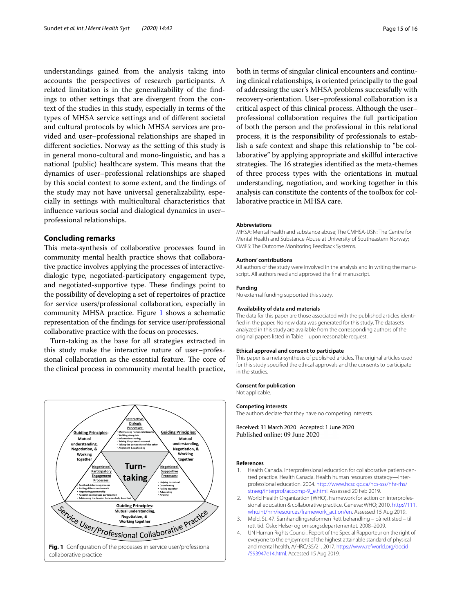understandings gained from the analysis taking into accounts the perspectives of research participants. A related limitation is in the generalizability of the fndings to other settings that are divergent from the context of the studies in this study, especially in terms of the types of MHSA service settings and of diferent societal and cultural protocols by which MHSA services are provided and user–professional relationships are shaped in diferent societies. Norway as the setting of this study is in general mono-cultural and mono-linguistic, and has a national (public) healthcare system. This means that the dynamics of user–professional relationships are shaped by this social context to some extent, and the fndings of the study may not have universal generalizability, especially in settings with multicultural characteristics that infuence various social and dialogical dynamics in user– professional relationships.

#### **Concluding remarks**

This meta-synthesis of collaborative processes found in community mental health practice shows that collaborative practice involves applying the processes of interactivedialogic type, negotiated-participatory engagement type, and negotiated-supportive type. These findings point to the possibility of developing a set of repertoires of practice for service users/professional collaboration, especially in community MHSA practice. Figure [1](#page-14-3) shows a schematic representation of the fndings for service user/professional collaborative practice with the focus on processes.

Turn-taking as the base for all strategies extracted in this study make the interactive nature of user–professional collaboration as the essential feature. The core of the clinical process in community mental health practice,

<span id="page-14-3"></span>

both in terms of singular clinical encounters and continuing clinical relationships, is oriented principally to the goal of addressing the user's MHSA problems successfully with recovery-orientation. User–professional collaboration is a critical aspect of this clinical process. Although the user– professional collaboration requires the full participation of both the person and the professional in this relational process, it is the responsibility of professionals to establish a safe context and shape this relationship to "be collaborative" by applying appropriate and skillful interactive strategies. The 16 strategies identified as the meta-themes of three process types with the orientations in mutual understanding, negotiation, and working together in this analysis can constitute the contents of the toolbox for collaborative practice in MHSA care.

#### **Abbreviations**

MHSA: Mental health and substance abuse; The CMHSA-USN: The Centre for Mental Health and Substance Abuse at University of Southeastern Norway; OMFS: The Outcome Monitoring Feedback Systems.

#### **Authors' contributions**

All authors of the study were involved in the analysis and in writing the manuscript. All authors read and approved the fnal manuscript.

#### **Funding**

No external funding supported this study.

#### **Availability of data and materials**

The data for this paper are those associated with the published articles identifed in the paper. No new data was generated for this study. The datasets analyzed in this study are available from the corresponding authors of the original papers listed in Table [1](#page-3-0) upon reasonable request.

#### **Ethical approval and consent to participate**

This paper is a meta-synthesis of published articles. The original articles used for this study specifed the ethical approvals and the consents to participate in the studies.

#### **Consent for publication** Not applicable.

#### **Competing interests**

The authors declare that they have no competing interests.

Received: 31 March 2020 Accepted: 1 June 2020 Published online: 09 June 2020

#### **References**

- <span id="page-14-0"></span>1. Health Canada. Interprofessional education for collaborative patient-centred practice. Health Canada. Health human resources strategy—Interprofessional education. 2004. [http://www.hcsc.gc.ca/hcs-sss/hhr-rhs/](http://www.hcsc.gc.ca/hcs-sss/hhr-rhs/straeg/interprof/accomp-9_e.html) [straeg/interprof/accomp-9\\_e.html](http://www.hcsc.gc.ca/hcs-sss/hhr-rhs/straeg/interprof/accomp-9_e.html). Assessed 20 Feb 2019.
- 2. World Health Organization (WHO). Framework for action on interprofessional education & collaborative practice. Geneva: WHO; 2010. [http://111.](http://111.who.int/hrh/resources/framework_action/en) [who.int/hrh/resources/framework\\_action/en.](http://111.who.int/hrh/resources/framework_action/en) Assessed 15 Aug 2019.
- <span id="page-14-1"></span>3. Meld. St. 47. Samhandlingsreformen Rett behandling – på rett sted – til rett tid. Oslo: Helse- og omsorgsdepartementet. 2008–2009.
- <span id="page-14-2"></span>4. UN Human Rights Council. Report of the Special Rapporteur on the right of everyone to the enjoyment of the highest attainable standard of physical and mental health, A/HRC/35/21. 2017. [https://www.refworld.org/docid](https://www.refworld.org/docid/593947e14.html) [/593947e14.html.](https://www.refworld.org/docid/593947e14.html) Accessed 15 Aug 2019.